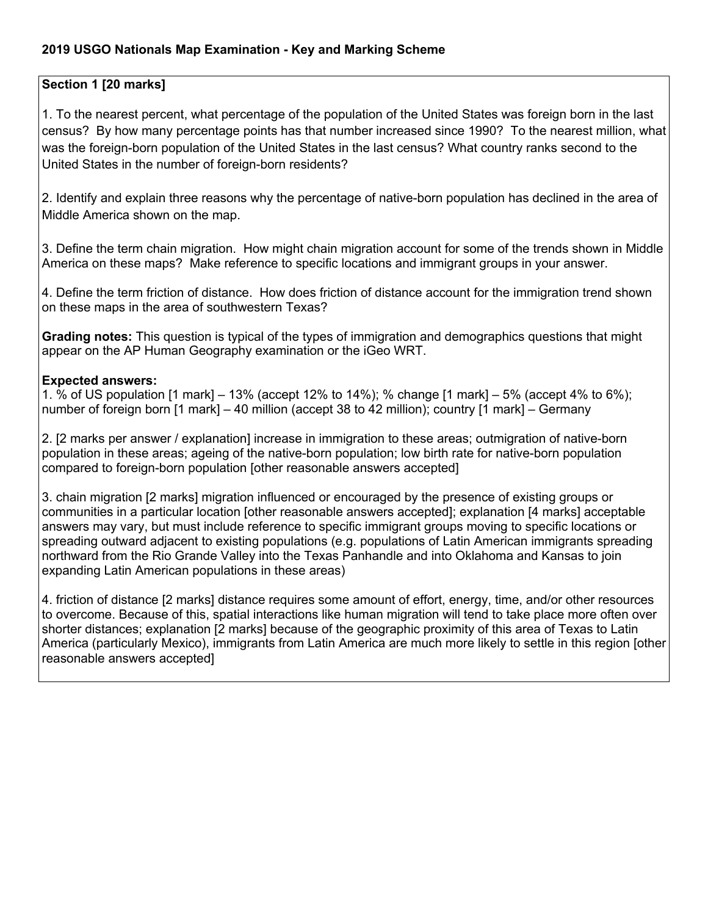### **2019 USGO Nationals Map Examination - Key and Marking Scheme**

### **Section 1 [20 marks]**

1. To the nearest percent, what percentage of the population of the United States was foreign born in the last census? By how many percentage points has that number increased since 1990? To the nearest million, what was the foreign-born population of the United States in the last census? What country ranks second to the United States in the number of foreign-born residents?

2. Identify and explain three reasons why the percentage of native-born population has declined in the area of Middle America shown on the map.

3. Define the term chain migration. How might chain migration account for some of the trends shown in Middle America on these maps? Make reference to specific locations and immigrant groups in your answer.

4. Define the term friction of distance. How does friction of distance account for the immigration trend shown on these maps in the area of southwestern Texas?

**Grading notes:** This question is typical of the types of immigration and demographics questions that might appear on the AP Human Geography examination or the iGeo WRT.

#### **Expected answers:**

1. % of US population [1 mark] – 13% (accept 12% to 14%); % change [1 mark] – 5% (accept 4% to 6%); number of foreign born [1 mark] – 40 million (accept 38 to 42 million); country [1 mark] – Germany

2. [2 marks per answer / explanation] increase in immigration to these areas; outmigration of native-born population in these areas; ageing of the native-born population; low birth rate for native-born population compared to foreign-born population [other reasonable answers accepted]

3. chain migration [2 marks] migration influenced or encouraged by the presence of existing groups or communities in a particular location [other reasonable answers accepted]; explanation [4 marks] acceptable answers may vary, but must include reference to specific immigrant groups moving to specific locations or spreading outward adjacent to existing populations (e.g. populations of Latin American immigrants spreading northward from the Rio Grande Valley into the Texas Panhandle and into Oklahoma and Kansas to join expanding Latin American populations in these areas)

4. friction of distance [2 marks] distance requires some amount of effort, energy, time, and/or other resources to overcome. Because of this, spatial interactions like human migration will tend to take place more often over shorter distances; explanation [2 marks] because of the geographic proximity of this area of Texas to Latin America (particularly Mexico), immigrants from Latin America are much more likely to settle in this region [other reasonable answers accepted]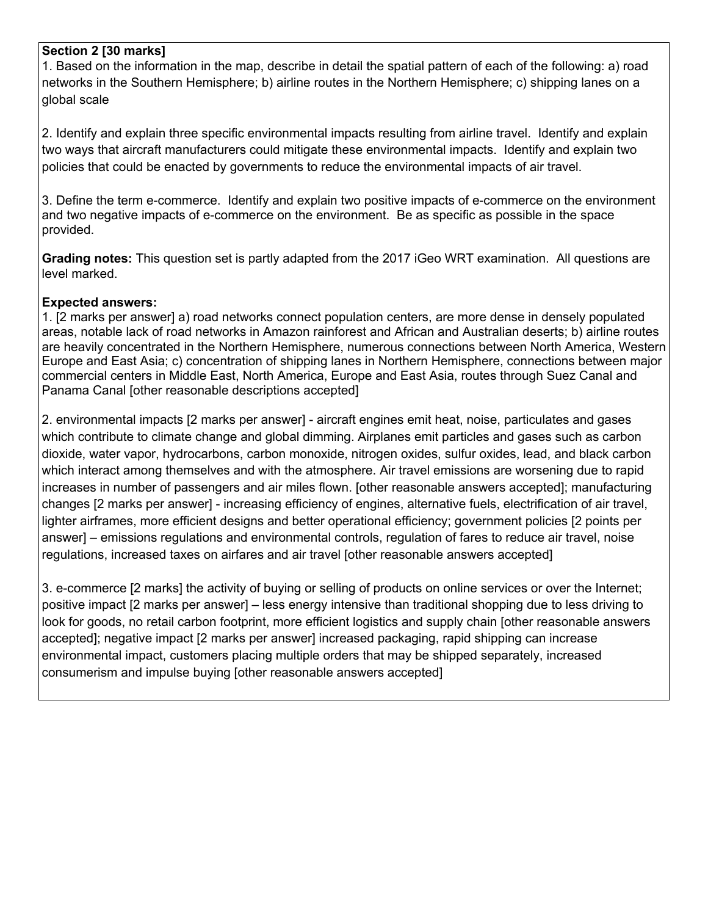### **Section 2 [30 marks]**

1. Based on the information in the map, describe in detail the spatial pattern of each of the following: a) road networks in the Southern Hemisphere; b) airline routes in the Northern Hemisphere; c) shipping lanes on a global scale

2. Identify and explain three specific environmental impacts resulting from airline travel. Identify and explain two ways that aircraft manufacturers could mitigate these environmental impacts. Identify and explain two policies that could be enacted by governments to reduce the environmental impacts of air travel.

3. Define the term e-commerce. Identify and explain two positive impacts of e-commerce on the environment and two negative impacts of e-commerce on the environment. Be as specific as possible in the space provided.

**Grading notes:** This question set is partly adapted from the 2017 iGeo WRT examination. All questions are level marked.

### **Expected answers:**

1. [2 marks per answer] a) road networks connect population centers, are more dense in densely populated areas, notable lack of road networks in Amazon rainforest and African and Australian deserts; b) airline routes are heavily concentrated in the Northern Hemisphere, numerous connections between North America, Western Europe and East Asia; c) concentration of shipping lanes in Northern Hemisphere, connections between major commercial centers in Middle East, North America, Europe and East Asia, routes through Suez Canal and Panama Canal [other reasonable descriptions accepted]

2. environmental impacts [2 marks per answer] - aircraft engines emit heat, noise, particulates and gases which contribute to climate change and global dimming. Airplanes emit particles and gases such as carbon dioxide, water vapor, hydrocarbons, carbon monoxide, nitrogen oxides, sulfur oxides, lead, and black carbon which interact among themselves and with the atmosphere. Air travel emissions are worsening due to rapid increases in number of passengers and air miles flown. [other reasonable answers accepted]; manufacturing changes [2 marks per answer] - increasing efficiency of engines, alternative fuels, electrification of air travel, lighter airframes, more efficient designs and better operational efficiency; government policies [2 points per answer] – emissions regulations and environmental controls, regulation of fares to reduce air travel, noise regulations, increased taxes on airfares and air travel [other reasonable answers accepted]

3. e-commerce [2 marks] the activity of buying or selling of products on online services or over the Internet; positive impact [2 marks per answer] – less energy intensive than traditional shopping due to less driving to look for goods, no retail carbon footprint, more efficient logistics and supply chain [other reasonable answers accepted]; negative impact [2 marks per answer] increased packaging, rapid shipping can increase environmental impact, customers placing multiple orders that may be shipped separately, increased consumerism and impulse buying [other reasonable answers accepted]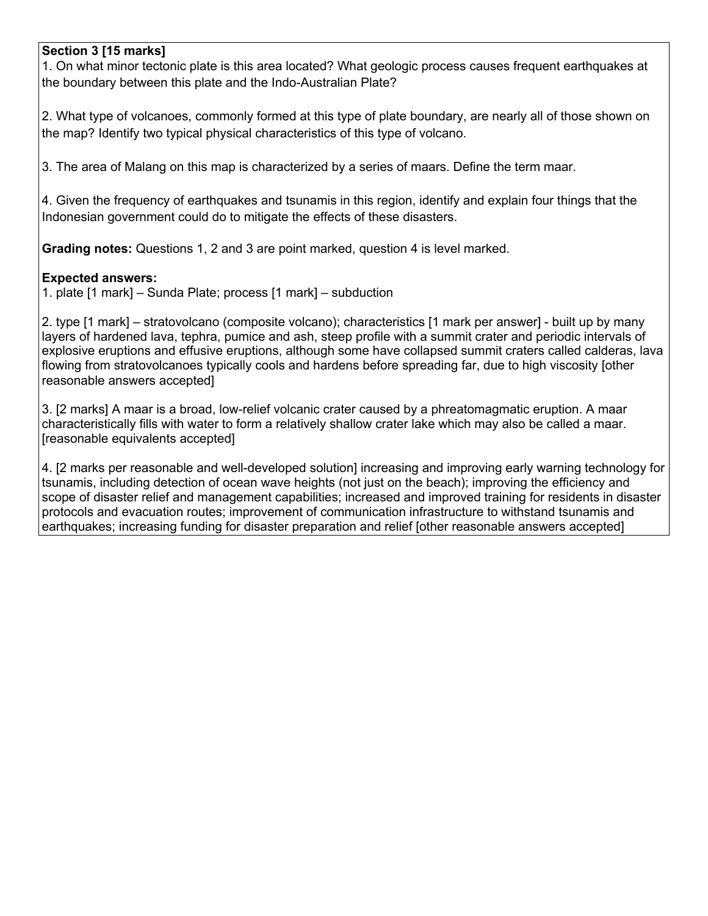### **Section 3 [15 marks]**

1. On what minor tectonic plate is this area located? What geologic process causes frequent earthquakes at the boundary between this plate and the Indo-Australian Plate?

2. What type of volcanoes, commonly formed at this type of plate boundary, are nearly all of those shown on the map? Identify two typical physical characteristics of this type of volcano.

3. The area of Malang on this map is characterized by a series of maars. Define the term maar.

4. Given the frequency of earthquakes and tsunamis in this region, identify and explain four things that the Indonesian government could do to mitigate the effects of these disasters.

**Grading notes:** Questions 1, 2 and 3 are point marked, question 4 is level marked.

### **Expected answers:**

1. plate [1 mark] – Sunda Plate; process [1 mark] – subduction

2. type [1 mark] – stratovolcano (composite volcano); characteristics [1 mark per answer] - built up by many layers of hardened lava, tephra, pumice and ash, steep profile with a summit crater and periodic intervals of explosive eruptions and effusive eruptions, although some have collapsed summit craters called calderas, lava flowing from stratovolcanoes typically cools and hardens before spreading far, due to high viscosity [other reasonable answers accepted]

3. [2 marks] A maar is a broad, low-relief volcanic crater caused by a phreatomagmatic eruption. A maar characteristically fills with water to form a relatively shallow crater lake which may also be called a maar. [reasonable equivalents accepted]

4. [2 marks per reasonable and well-developed solution] increasing and improving early warning technology for tsunamis, including detection of ocean wave heights (not just on the beach); improving the efficiency and scope of disaster relief and management capabilities; increased and improved training for residents in disaster protocols and evacuation routes; improvement of communication infrastructure to withstand tsunamis and earthquakes; increasing funding for disaster preparation and relief [other reasonable answers accepted]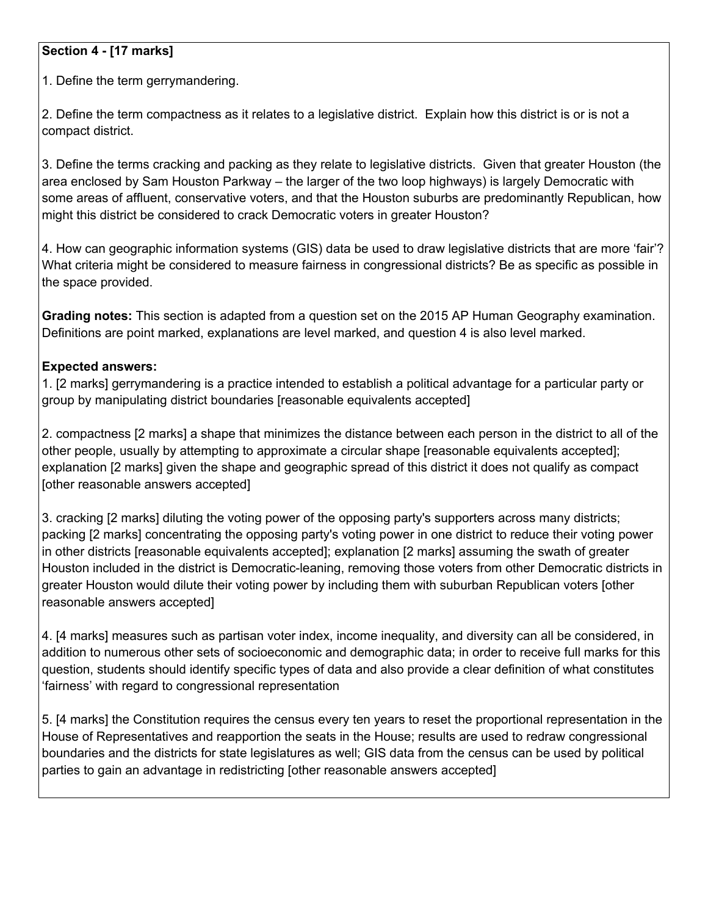# **Section 4 - [17 marks]**

1. Define the term gerrymandering.

2. Define the term compactness as it relates to a legislative district. Explain how this district is or is not a compact district.

3. Define the terms cracking and packing as they relate to legislative districts. Given that greater Houston (the area enclosed by Sam Houston Parkway – the larger of the two loop highways) is largely Democratic with some areas of affluent, conservative voters, and that the Houston suburbs are predominantly Republican, how might this district be considered to crack Democratic voters in greater Houston?

4. How can geographic information systems (GIS) data be used to draw legislative districts that are more 'fair'? What criteria might be considered to measure fairness in congressional districts? Be as specific as possible in the space provided.

**Grading notes:** This section is adapted from a question set on the 2015 AP Human Geography examination. Definitions are point marked, explanations are level marked, and question 4 is also level marked.

### **Expected answers:**

1. [2 marks] gerrymandering is a practice intended to establish a political advantage for a particular party or group by manipulating district boundaries [reasonable equivalents accepted]

2. compactness [2 marks] a shape that minimizes the distance between each person in the district to all of the other people, usually by attempting to approximate a circular shape [reasonable equivalents accepted]; explanation [2 marks] given the shape and geographic spread of this district it does not qualify as compact [other reasonable answers accepted]

3. cracking [2 marks] diluting the voting power of the opposing party's supporters across many districts; packing [2 marks] concentrating the opposing party's voting power in one district to reduce their voting power in other districts [reasonable equivalents accepted]; explanation [2 marks] assuming the swath of greater Houston included in the district is Democratic-leaning, removing those voters from other Democratic districts in greater Houston would dilute their voting power by including them with suburban Republican voters [other reasonable answers accepted]

4. [4 marks] measures such as partisan voter index, income inequality, and diversity can all be considered, in addition to numerous other sets of socioeconomic and demographic data; in order to receive full marks for this question, students should identify specific types of data and also provide a clear definition of what constitutes 'fairness' with regard to congressional representation

5. [4 marks] the Constitution requires the census every ten years to reset the proportional representation in the House of Representatives and reapportion the seats in the House; results are used to redraw congressional boundaries and the districts for state legislatures as well; GIS data from the census can be used by political parties to gain an advantage in redistricting [other reasonable answers accepted]